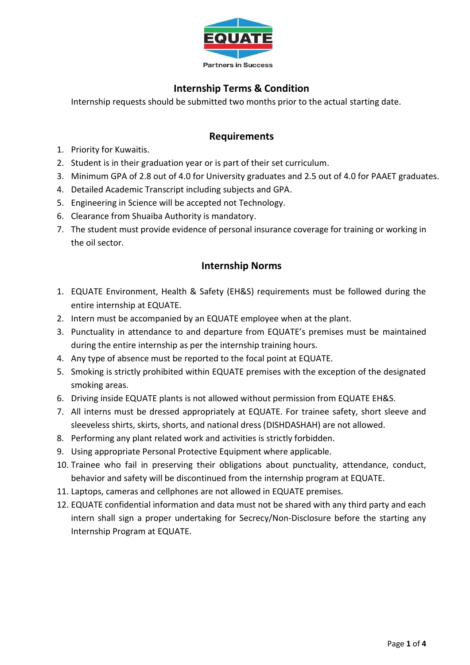

## **Internship Terms & Condition**

Internship requests should be submitted two months prior to the actual starting date.

### **Requirements**

- 1. Priority for Kuwaitis.
- 2. Student is in their graduation year or is part of their set curriculum.
- 3. Minimum GPA of 2.8 out of 4.0 for University graduates and 2.5 out of 4.0 for PAAET graduates.
- 4. Detailed Academic Transcript including subjects and GPA.
- 5. Engineering in Science will be accepted not Technology.
- 6. Clearance from Shuaiba Authority is mandatory.
- 7. The student must provide evidence of personal insurance coverage for training or working in the oil sector.

#### **Internship Norms**

- 1. EQUATE Environment, Health & Safety (EH&S) requirements must be followed during the entire internship at EQUATE.
- 2. Intern must be accompanied by an EQUATE employee when at the plant.
- 3. Punctuality in attendance to and departure from EQUATE's premises must be maintained during the entire internship as per the internship training hours.
- 4. Any type of absence must be reported to the focal point at EQUATE.
- 5. Smoking is strictly prohibited within EQUATE premises with the exception of the designated smoking areas.
- 6. Driving inside EQUATE plants is not allowed without permission from EQUATE EH&S.
- 7. All interns must be dressed appropriately at EQUATE. For trainee safety, short sleeve and sleeveless shirts, skirts, shorts, and national dress (DISHDASHAH) are not allowed.
- 8. Performing any plant related work and activities is strictly forbidden.
- 9. Using appropriate Personal Protective Equipment where applicable.
- 10. Trainee who fail in preserving their obligations about punctuality, attendance, conduct, behavior and safety will be discontinued from the internship program at EQUATE.
- 11. Laptops, cameras and cellphones are not allowed in EQUATE premises.
- 12. EQUATE confidential information and data must not be shared with any third party and each intern shall sign a proper undertaking for Secrecy/Non-Disclosure before the starting any Internship Program at EQUATE.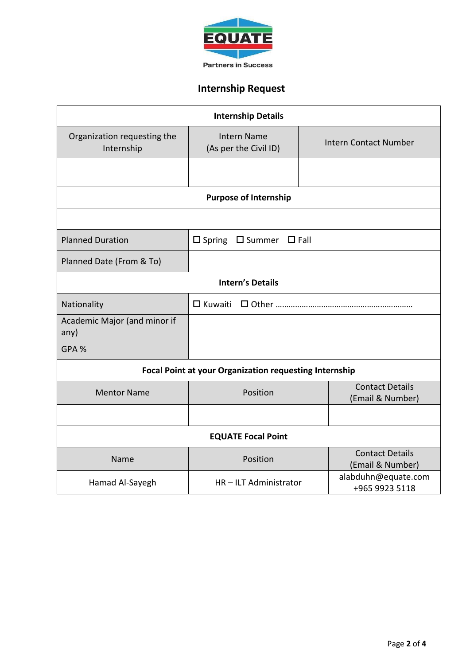

# **Internship Request**

| <b>Internship Details</b>                                     |                                                     |  |                                            |  |
|---------------------------------------------------------------|-----------------------------------------------------|--|--------------------------------------------|--|
| Organization requesting the<br>Internship                     | <b>Intern Name</b><br>(As per the Civil ID)         |  | <b>Intern Contact Number</b>               |  |
|                                                               |                                                     |  |                                            |  |
| <b>Purpose of Internship</b>                                  |                                                     |  |                                            |  |
|                                                               |                                                     |  |                                            |  |
| <b>Planned Duration</b>                                       | $\Box$ Spring<br>$\square$ Summer<br>$\square$ Fall |  |                                            |  |
| Planned Date (From & To)                                      |                                                     |  |                                            |  |
| <b>Intern's Details</b>                                       |                                                     |  |                                            |  |
| Nationality                                                   | $\Box$ Kuwaiti                                      |  |                                            |  |
| Academic Major (and minor if<br>any)                          |                                                     |  |                                            |  |
| GPA %                                                         |                                                     |  |                                            |  |
| <b>Focal Point at your Organization requesting Internship</b> |                                                     |  |                                            |  |
| <b>Mentor Name</b>                                            | Position                                            |  | <b>Contact Details</b><br>(Email & Number) |  |
|                                                               |                                                     |  |                                            |  |
| <b>EQUATE Focal Point</b>                                     |                                                     |  |                                            |  |
| Name                                                          | Position                                            |  | <b>Contact Details</b><br>(Email & Number) |  |
| Hamad Al-Sayegh                                               | HR-ILT Administrator                                |  | alabduhn@equate.com<br>+965 9923 5118      |  |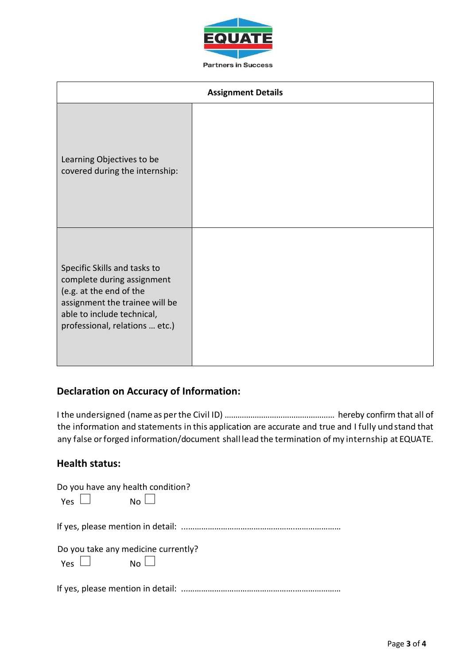

| <b>Assignment Details</b>                                                                                                                                                               |  |  |
|-----------------------------------------------------------------------------------------------------------------------------------------------------------------------------------------|--|--|
| Learning Objectives to be<br>covered during the internship:                                                                                                                             |  |  |
| Specific Skills and tasks to<br>complete during assignment<br>(e.g. at the end of the<br>assignment the trainee will be<br>able to include technical,<br>professional, relations  etc.) |  |  |

## **Declaration on Accuracy of Information:**

I the undersigned (name as perthe Civil ID) …………………………………………… hereby confirm that all of the information and statements in this application are accurate and true and I fully undstand that any false orforged information/document shall lead the termination of my internship at EQUATE.

## **Health status:**

| Do you have any health condition?<br>$Yes \Box \qquad No \Box$  |  |
|-----------------------------------------------------------------|--|
|                                                                 |  |
| Do you take any medicine currently?<br>$Yes$ $\Box$ $No$ $\Box$ |  |
|                                                                 |  |